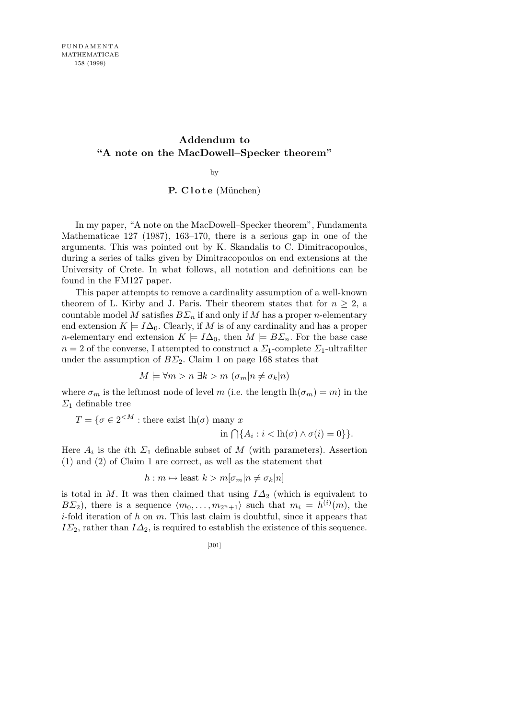## **Addendum to "A note on the MacDowell–Specker theorem"**

by

## **P. Clote** (München)

In my paper, "A note on the MacDowell–Specker theorem", Fundamenta Mathematicae 127 (1987), 163–170, there is a serious gap in one of the arguments. This was pointed out by K. Skandalis to C. Dimitracopoulos, during a series of talks given by Dimitracopoulos on end extensions at the University of Crete. In what follows, all notation and definitions can be found in the FM127 paper.

This paper attempts to remove a cardinality assumption of a well-known theorem of L. Kirby and J. Paris. Their theorem states that for  $n \geq 2$ , a countable model *M* satisfies  $B\Sigma_n$  if and only if *M* has a proper *n*-elementary end extension  $K \models I\Delta_0$ . Clearly, if M is of any cardinality and has a proper *n*-elementary end extension  $K \models I\Delta_0$ , then  $M \models B\Sigma_n$ . For the base case  $n = 2$  of the converse, I attempted to construct a  $\mathcal{Z}_1$ -complete  $\mathcal{Z}_1$ -ultrafilter under the assumption of  $B\Sigma_2$ . Claim 1 on page 168 states that

$$
M \models \forall m > n \exists k > m \ (\sigma_m | n \neq \sigma_k | n)
$$

where  $\sigma_m$  is the leftmost node of level *m* (i.e. the length  $\ln(\sigma_m) = m$ ) in the *Σ*<sup>1</sup> definable tree

 $T = \{ \sigma \in 2^{< M} : \text{there exist } \text{lh}(\sigma) \text{ many } x \}$ 

 $\inf \{ A_i : i < \text{lh}(\sigma) \land \sigma(i) = 0 \} \}.$ 

Here  $A_i$  is the *i*th  $\Sigma_1$  definable subset of M (with parameters). Assertion (1) and (2) of Claim 1 are correct, as well as the statement that

$$
h: m \mapsto \text{least } k > m[\sigma_m | n \neq \sigma_k | n]
$$

is total in *M*. It was then claimed that using *I∆*<sup>2</sup> (which is equivalent to *B* $\Sigma$ <sub>2</sub>), there is a sequence  $\langle m_0, \ldots, m_{2^n+1} \rangle$  such that  $m_i = h^{(i)}(m)$ , the *i*-fold iteration of *h* on *m*. This last claim is doubtful, since it appears that  $I\Sigma_2$ , rather than  $I\Delta_2$ , is required to establish the existence of this sequence.

[301]